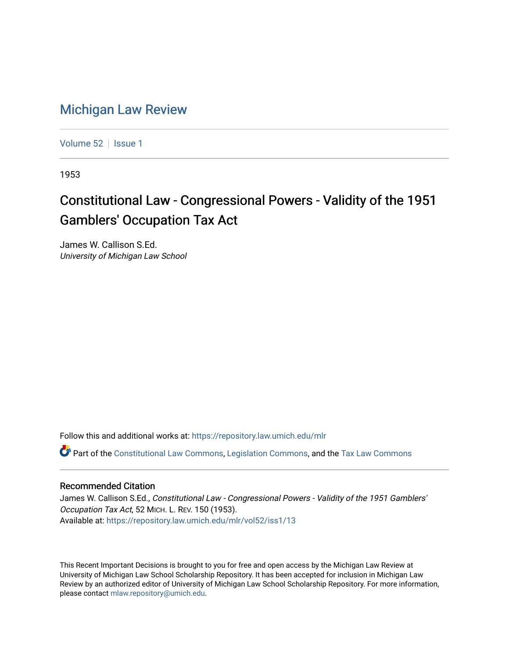## [Michigan Law Review](https://repository.law.umich.edu/mlr)

[Volume 52](https://repository.law.umich.edu/mlr/vol52) | [Issue 1](https://repository.law.umich.edu/mlr/vol52/iss1)

1953

## Constitutional Law - Congressional Powers - Validity of the 1951 Gamblers' Occupation Tax Act

James W. Callison S.Ed. University of Michigan Law School

Follow this and additional works at: [https://repository.law.umich.edu/mlr](https://repository.law.umich.edu/mlr?utm_source=repository.law.umich.edu%2Fmlr%2Fvol52%2Fiss1%2F13&utm_medium=PDF&utm_campaign=PDFCoverPages) 

Part of the [Constitutional Law Commons,](http://network.bepress.com/hgg/discipline/589?utm_source=repository.law.umich.edu%2Fmlr%2Fvol52%2Fiss1%2F13&utm_medium=PDF&utm_campaign=PDFCoverPages) [Legislation Commons](http://network.bepress.com/hgg/discipline/859?utm_source=repository.law.umich.edu%2Fmlr%2Fvol52%2Fiss1%2F13&utm_medium=PDF&utm_campaign=PDFCoverPages), and the [Tax Law Commons](http://network.bepress.com/hgg/discipline/898?utm_source=repository.law.umich.edu%2Fmlr%2Fvol52%2Fiss1%2F13&utm_medium=PDF&utm_campaign=PDFCoverPages) 

## Recommended Citation

James W. Callison S.Ed., Constitutional Law - Congressional Powers - Validity of the 1951 Gamblers' Occupation Tax Act, 52 MICH. L. REV. 150 (1953). Available at: [https://repository.law.umich.edu/mlr/vol52/iss1/13](https://repository.law.umich.edu/mlr/vol52/iss1/13?utm_source=repository.law.umich.edu%2Fmlr%2Fvol52%2Fiss1%2F13&utm_medium=PDF&utm_campaign=PDFCoverPages) 

This Recent Important Decisions is brought to you for free and open access by the Michigan Law Review at University of Michigan Law School Scholarship Repository. It has been accepted for inclusion in Michigan Law Review by an authorized editor of University of Michigan Law School Scholarship Repository. For more information, please contact [mlaw.repository@umich.edu.](mailto:mlaw.repository@umich.edu)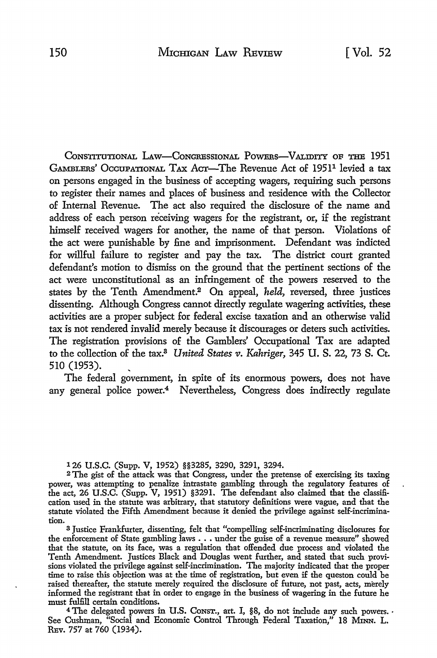CONSTITUTIONAL LAW-CONGRESSIONAL POWERS-VALIDITY OF THE 1951 GAMBLERS' OCCUPATIONAL TAX ACT—The Revenue Act of 1951<sup>1</sup> levied a tax on persons engaged in the business of accepting wagers, requiring such persons to register their names and places of business and residence with the Collector of Internal Revenue. The act also required the disclosure of the name and address of each person receiving wagers for the registrant, or, if the registrant himself received wagers for another, the name of that person. Violations of the act were punishable by fine and imprisonment. Defendant was indicted for willful failure to register and pay the tax. The district court granted defendant's motion to dismiss on the ground that the pertinent sections of the act were unconstitutional as an infringement of the powers reserved to the states by the Tenth Amendment.2 On appeal, *held,* reversed, three justices dissenting. Although Congress cannot directly regulate wagering activities, these activities are a proper subject for federal excise taxation and an otherwise valid tax is not rendered invalid merely because it discourages or deters such activities. The registration provisions of the Gamblers' Occupational Tax are adapted to the collection of the tax.<sup>3</sup> *United States v. Kahriger*, 345 *U.S. 22, 73 S. Ct.* 510 (1953). \_

The federal government, **in** spite of its enormous powers, does not have any general police power.<sup>4</sup> Nevertheless, Congress does indirectly regulate

126 U.S.C. (Supp. V, 1952) §§3285, 3290, 3291, 3294.

<sup>2</sup>The gist of the attack was that Congress, under the pretense of exercising its taxing power, was attempting to penalize intrastate gambling through the regulatory features of the act, 26 U.S.C. (Supp. V, 1951) §3291. The defendant also claimed that the classification used in the statute was arbitrary, that statutory definitions were vague, and that the statute violated the Fifth Amendment because it denied the privilege against self-incrimination.

<sup>3</sup>Justice Frankfurter, dissenting, felt that "compelling self-incriminating disclosures for the enforcement of State gambling laws . . . under the guise of a revenue measure" showed that the statute, on its face, was a regulation that offended due process and violated the Tenth Amendment. Justices Black and Douglas went further, and stated that such provisions violated the privilege against self-incrimination. The majority indicated that the proper time to raise this objection was at the time of registration, but even if the queston could be raised thereafter, the statute merely required the disclosure of future, not past, acts, merely informed the registrant that in order to engage in the business of wagering in the future he must fulfill certain conditions.

<sup>4</sup> The delegated powers in U.S. Consr., art. I, §8, do not include any such powers. See Cushman, "Social and Economic Control Through Federal Taxation," 18 MINN. L. REv. 757 at 760 (1934).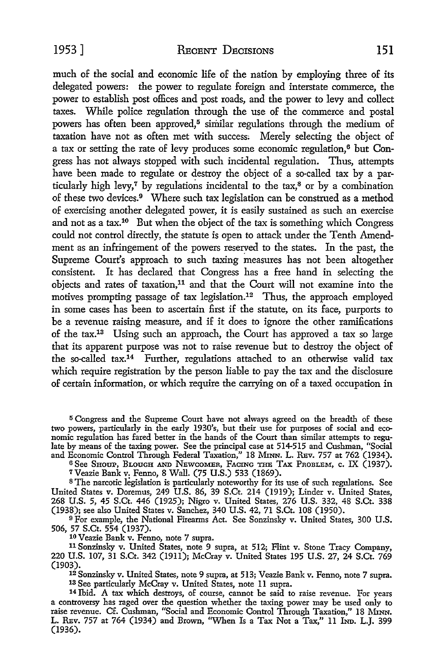much of the social and economic life of the nation by employing three of its delegated powers: the power to regulate foreign and interstate commerce, the power to establish post offices and post roads, and the power to levy and collect taxes. While police regulation through the use of the commerce and postal powers has often been approved,<sup>5</sup> similar regulations through the medium of taxation have not as often met with success; Merely selecting the object of a tax or setting the rate of levy produces some economic regulation,<sup>6</sup> but Congress has not always stopped with such incidental regulation. Thus, attempts have been made to regulate or destroy the object of a so-called tax by a particularly high levy,<sup>7</sup> by regulations incidental to the tax,<sup>8</sup> or by a combination of these two devices.<sup>9</sup> Where such tax legislation can be construed as a method of exercising another delegated power, it is easily sustained as such an exercise and not as a tax.<sup>10</sup> But when the object of the tax is something which Congress could not control directly, the statute is open to attack under the Tenth Amendment as an infringement of the powers reserved to the states. In the past, the Supreme Court's approach to such taxing measures has not been altogether consistent. It has declared that Congress has a free hand in selecting the objects and rates of taxation,11 and that the Court will not examine into the motives prompting passage of tax legislation.<sup>12</sup> Thus, the approach employed in some cases has been to ascertain first if the statute, on its face, purports to be a revenue raising measure, and if it does to ignore the other ramifications of the tax.13 Using such an approach, the Court has approved a tax so large that its apparent purpose was not to raise revenue but to destroy the object of the so-called  $tax.^{14}$  Further, regulations attached to an otherwise valid tax which require registration by the person liable to pay the tax and the disclosure of certain information, or which require the carrying on of a taxed occupation in

<sup>5</sup>Congress and the Supreme Court have not always agreed on the breadth of these two powers, particularly in the early 1930's, but their use for purposes of social and economic regulation has fared better in the hands of the Court than similar attempts to regulate by means of the taxing power. See the principal case at 514-515 and Cushman, "Social and Economic Control Through Federal Taxation," 18 Mmn. L. Rev. 757 at 762 (1934).

6See SHOUP, BLOUGH AND NEWCOMER, FACING THE TAX PROBLEM, c. IX (1937).

7Veazie Bank v. Fermo, 8 Wall. (75 U.S.) 533 (1869).

s The narcotic legislation is particularly noteworthy for its use of such regulations. See United States v. Doremus, 249 U.S. 86, 39 S.Ct. 214 (1919); Linder v. United States, 268 U.S. 5, 45 S.Ct. 446 (1925); Nigro v. United States, 276 U.S. 332, 48 S.Ct. 338 (1938); see also United States v. Sanchez, 340 U.S. 42, 71 S.Ct. 108 (1950).

<sup>9</sup> For example, the National Firearms Act. See Sonzinsky v. United States, 300 U.S. 506, 57 S.Ct. 554 (1937).

10 Veazie Bank v. Fenno, note 7 supra.

<sup>11</sup>Sonzinsky v. United States, note 9 supra, at 512; Flint v. Stone Tracy Company, 220 U.S. 107, 31 S.Ct. 342 (1911); McCray v. United States 195 U.S. 27, 24 S.Ct. 769

(1903). 12 Sonzinsky v. United States, note 9 supra, at 513; Veazie Bank v. Fenno, note 7 supra.

<sup>14</sup> Ibid. A tax which destroys, of course, cannot be said to raise revenue. For years a controversy has raged over the question whether the taxing power may be used only to raise revenue. Cf. Cushman, "Social and Economic Control Through Taxation," 18 MINN. L. REv. 757 at 764 (1934) and Brown, "When Is a Tax Not a Tax," 11 Inp. L.J. 399 (1936).